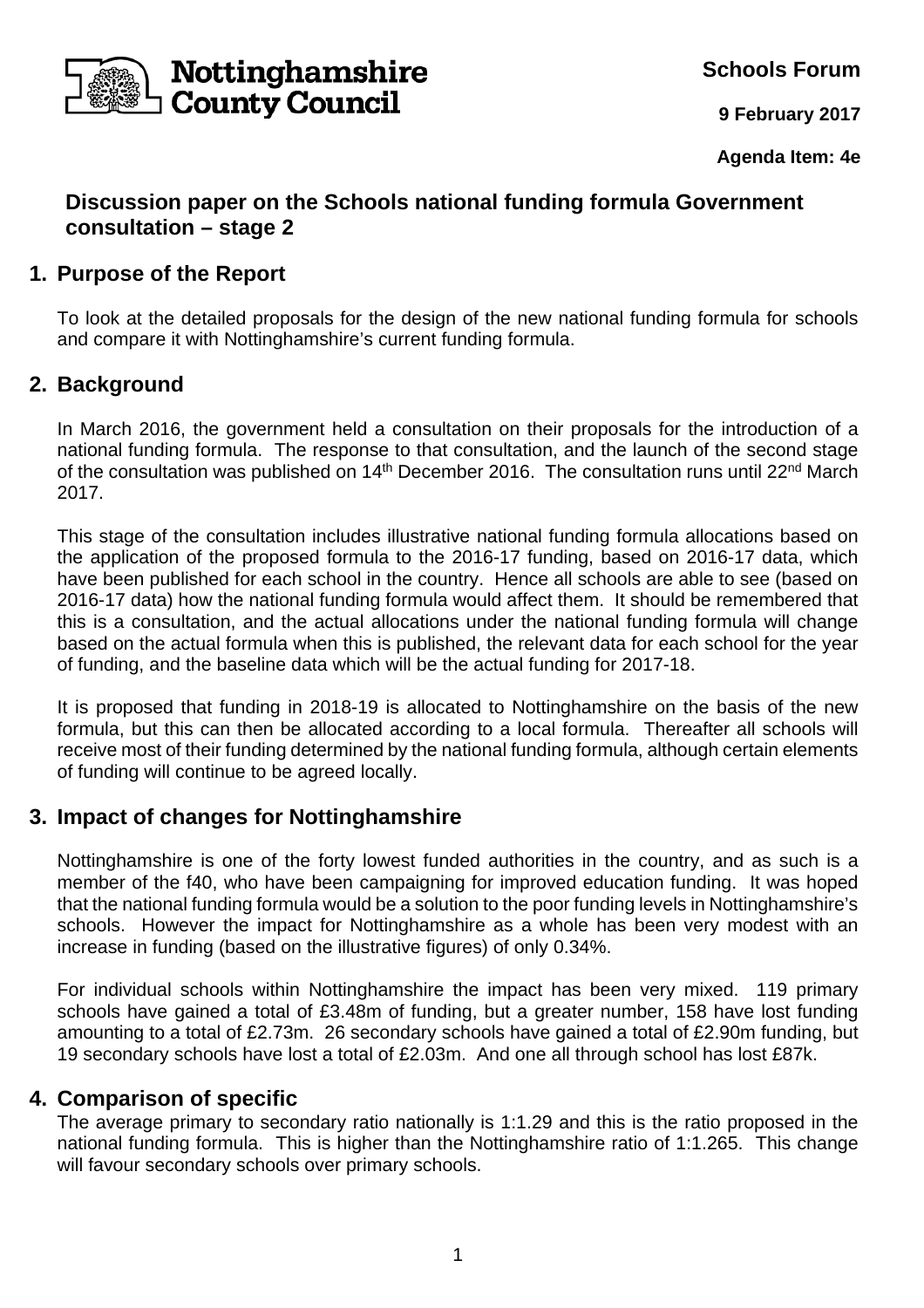

**Schools Forum**

**9 February 2017**

**Agenda Item: 4e** 

# **Discussion paper on the Schools national funding formula Government consultation – stage 2**

# **1. Purpose of the Report**

To look at the detailed proposals for the design of the new national funding formula for schools and compare it with Nottinghamshire's current funding formula.

# **2. Background**

In March 2016, the government held a consultation on their proposals for the introduction of a national funding formula. The response to that consultation, and the launch of the second stage of the consultation was published on 14<sup>th</sup> December 2016. The consultation runs until 22<sup>nd</sup> March 2017.

This stage of the consultation includes illustrative national funding formula allocations based on the application of the proposed formula to the 2016-17 funding, based on 2016-17 data, which have been published for each school in the country. Hence all schools are able to see (based on 2016-17 data) how the national funding formula would affect them. It should be remembered that this is a consultation, and the actual allocations under the national funding formula will change based on the actual formula when this is published, the relevant data for each school for the year of funding, and the baseline data which will be the actual funding for 2017-18.

It is proposed that funding in 2018-19 is allocated to Nottinghamshire on the basis of the new formula, but this can then be allocated according to a local formula. Thereafter all schools will receive most of their funding determined by the national funding formula, although certain elements of funding will continue to be agreed locally.

## **3. Impact of changes for Nottinghamshire**

Nottinghamshire is one of the forty lowest funded authorities in the country, and as such is a member of the f40, who have been campaigning for improved education funding. It was hoped that the national funding formula would be a solution to the poor funding levels in Nottinghamshire's schools. However the impact for Nottinghamshire as a whole has been very modest with an increase in funding (based on the illustrative figures) of only 0.34%.

For individual schools within Nottinghamshire the impact has been very mixed. 119 primary schools have gained a total of £3.48m of funding, but a greater number, 158 have lost funding amounting to a total of £2.73m. 26 secondary schools have gained a total of £2.90m funding, but 19 secondary schools have lost a total of £2.03m. And one all through school has lost £87k.

### **4. Comparison of specific**

The average primary to secondary ratio nationally is 1:1.29 and this is the ratio proposed in the national funding formula. This is higher than the Nottinghamshire ratio of 1:1.265. This change will favour secondary schools over primary schools.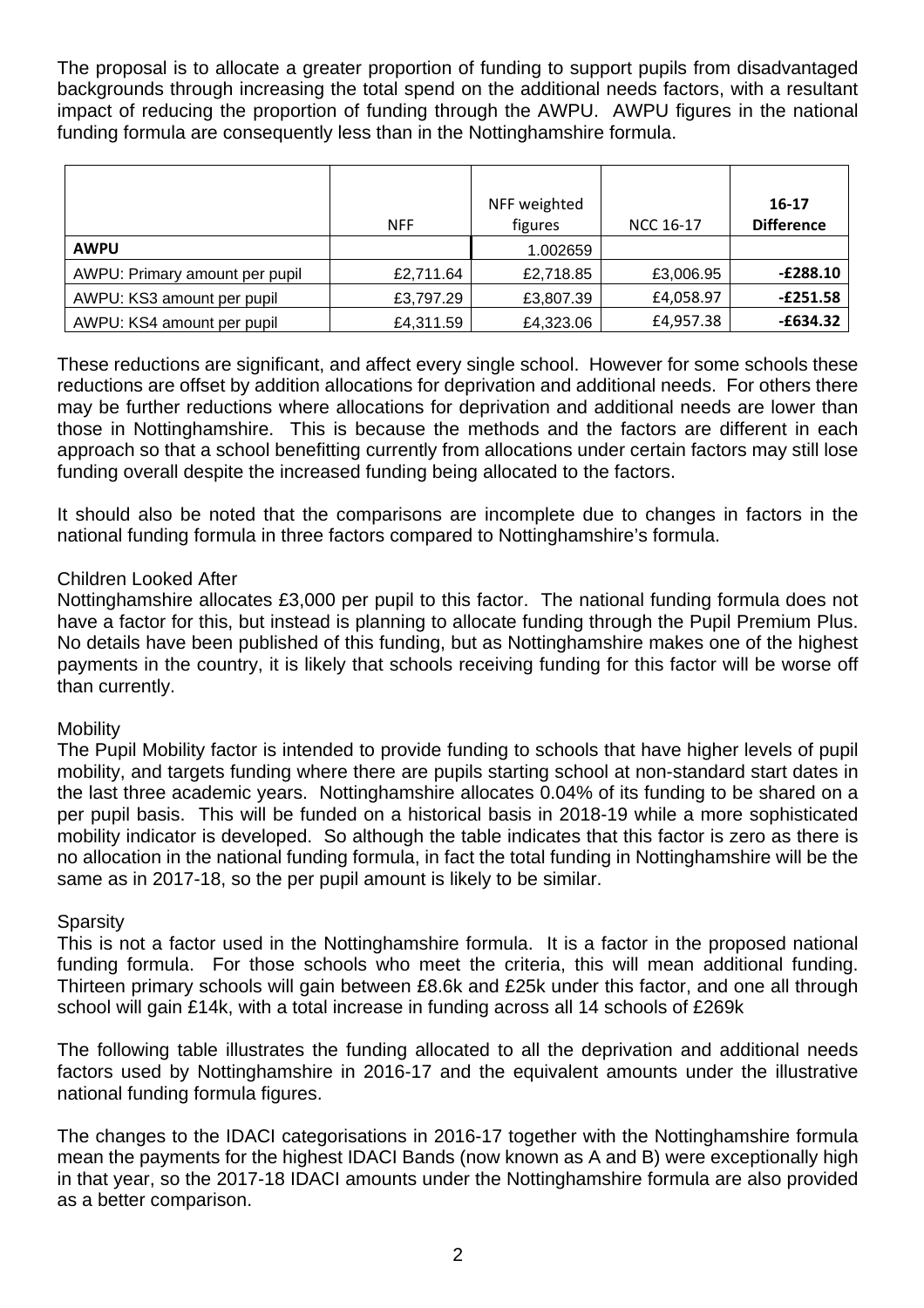The proposal is to allocate a greater proportion of funding to support pupils from disadvantaged backgrounds through increasing the total spend on the additional needs factors, with a resultant impact of reducing the proportion of funding through the AWPU. AWPU figures in the national funding formula are consequently less than in the Nottinghamshire formula.

|                                | <b>NFF</b> | NFF weighted<br>figures | NCC 16-17 | 16-17<br><b>Difference</b> |
|--------------------------------|------------|-------------------------|-----------|----------------------------|
| <b>AWPU</b>                    |            | 1.002659                |           |                            |
| AWPU: Primary amount per pupil | £2,711.64  | £2,718.85               | £3,006.95 | $-E288.10$                 |
| AWPU: KS3 amount per pupil     | £3,797.29  | £3,807.39               | £4,058.97 | $-E251.58$                 |
| AWPU: KS4 amount per pupil     | £4,311.59  | £4,323.06               | £4,957.38 | $-£634.32$                 |

These reductions are significant, and affect every single school. However for some schools these reductions are offset by addition allocations for deprivation and additional needs. For others there may be further reductions where allocations for deprivation and additional needs are lower than those in Nottinghamshire. This is because the methods and the factors are different in each approach so that a school benefitting currently from allocations under certain factors may still lose funding overall despite the increased funding being allocated to the factors.

It should also be noted that the comparisons are incomplete due to changes in factors in the national funding formula in three factors compared to Nottinghamshire's formula.

### Children Looked After

Nottinghamshire allocates £3,000 per pupil to this factor. The national funding formula does not have a factor for this, but instead is planning to allocate funding through the Pupil Premium Plus. No details have been published of this funding, but as Nottinghamshire makes one of the highest payments in the country, it is likely that schools receiving funding for this factor will be worse off than currently.

### **Mobility**

The Pupil Mobility factor is intended to provide funding to schools that have higher levels of pupil mobility, and targets funding where there are pupils starting school at non-standard start dates in the last three academic years. Nottinghamshire allocates 0.04% of its funding to be shared on a per pupil basis. This will be funded on a historical basis in 2018-19 while a more sophisticated mobility indicator is developed. So although the table indicates that this factor is zero as there is no allocation in the national funding formula, in fact the total funding in Nottinghamshire will be the same as in 2017-18, so the per pupil amount is likely to be similar.

### **Sparsity**

This is not a factor used in the Nottinghamshire formula. It is a factor in the proposed national funding formula. For those schools who meet the criteria, this will mean additional funding. Thirteen primary schools will gain between £8.6k and £25k under this factor, and one all through school will gain £14k, with a total increase in funding across all 14 schools of £269k

The following table illustrates the funding allocated to all the deprivation and additional needs factors used by Nottinghamshire in 2016-17 and the equivalent amounts under the illustrative national funding formula figures.

The changes to the IDACI categorisations in 2016-17 together with the Nottinghamshire formula mean the payments for the highest IDACI Bands (now known as A and B) were exceptionally high in that year, so the 2017-18 IDACI amounts under the Nottinghamshire formula are also provided as a better comparison.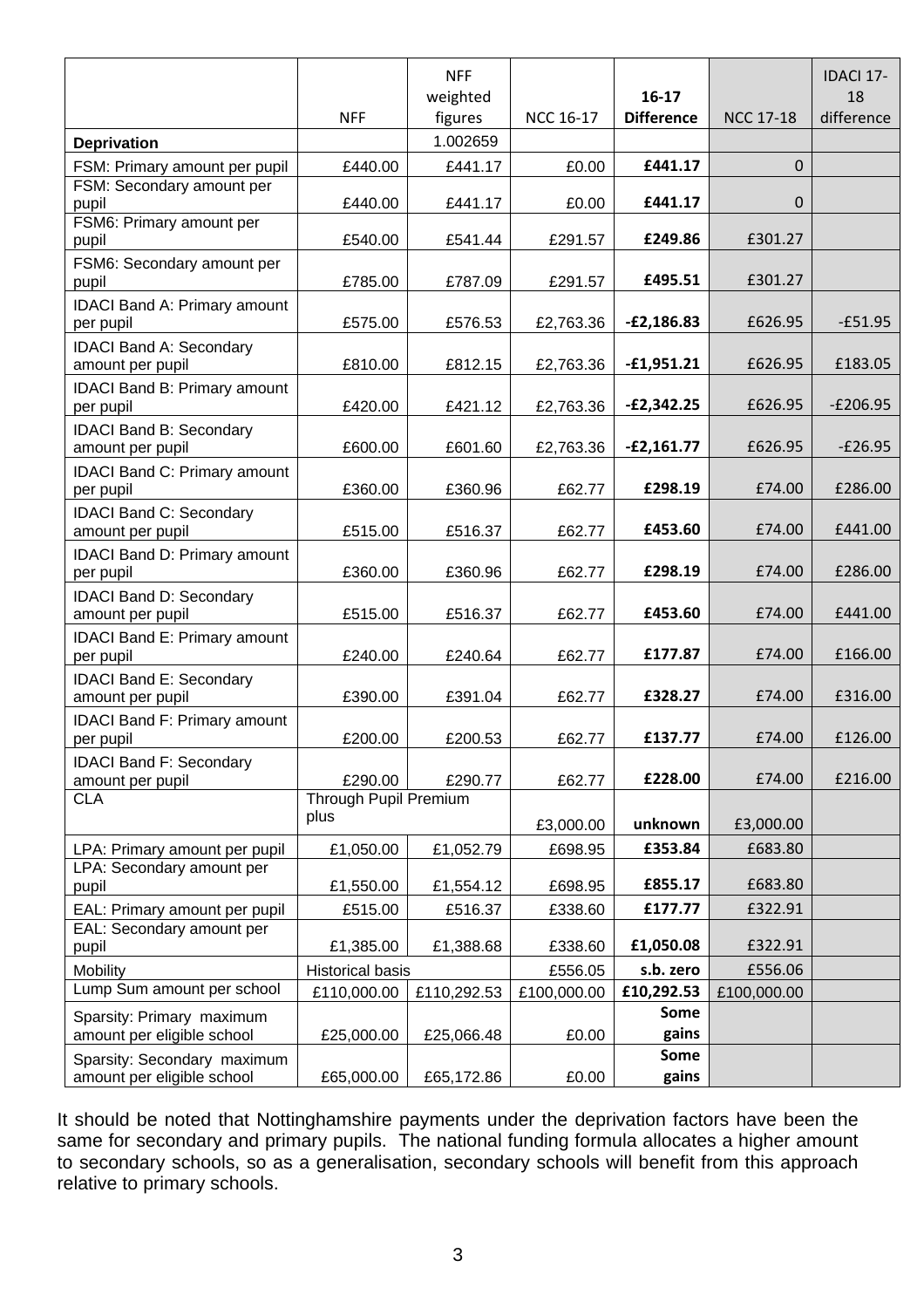|                                                    |                         | <b>NFF</b><br>weighted |                  | $16-17$           |                  | <b>IDACI 17-</b><br>18 |
|----------------------------------------------------|-------------------------|------------------------|------------------|-------------------|------------------|------------------------|
| <b>Deprivation</b>                                 | <b>NFF</b>              | figures<br>1.002659    | <b>NCC 16-17</b> | <b>Difference</b> | <b>NCC 17-18</b> | difference             |
| FSM: Primary amount per pupil                      | £440.00                 | £441.17                | £0.00            | £441.17           | $\Omega$         |                        |
| FSM: Secondary amount per                          |                         |                        |                  |                   |                  |                        |
| pupil                                              | £440.00                 | £441.17                | £0.00            | £441.17           | $\mathbf 0$      |                        |
| FSM6: Primary amount per<br>pupil                  | £540.00                 | £541.44                | £291.57          | £249.86           | £301.27          |                        |
| FSM6: Secondary amount per<br>pupil                | £785.00                 | £787.09                | £291.57          | £495.51           | £301.27          |                        |
| <b>IDACI Band A: Primary amount</b>                |                         |                        |                  |                   |                  |                        |
| per pupil                                          | £575.00                 | £576.53                | £2,763.36        | $-E2,186.83$      | £626.95          | $-£51.95$              |
| <b>IDACI Band A: Secondary</b><br>amount per pupil | £810.00                 | £812.15                | £2,763.36        | $-£1,951.21$      | £626.95          | £183.05                |
| IDACI Band B: Primary amount                       |                         |                        |                  |                   |                  |                        |
| per pupil                                          | £420.00                 | £421.12                | £2,763.36        | $-E2,342.25$      | £626.95          | $-E206.95$             |
| <b>IDACI Band B: Secondary</b><br>amount per pupil | £600.00                 | £601.60                | £2,763.36        | $-E2,161.77$      | £626.95          | $-E26.95$              |
| <b>IDACI Band C: Primary amount</b>                |                         |                        |                  |                   |                  |                        |
| per pupil                                          | £360.00                 | £360.96                | £62.77           | £298.19           | £74.00           | £286.00                |
| <b>IDACI Band C: Secondary</b><br>amount per pupil | £515.00                 | £516.37                | £62.77           | £453.60           | £74.00           | £441.00                |
| IDACI Band D: Primary amount<br>per pupil          | £360.00                 | £360.96                | £62.77           | £298.19           | £74.00           | £286.00                |
| <b>IDACI Band D: Secondary</b><br>amount per pupil | £515.00                 | £516.37                | £62.77           | £453.60           | £74.00           | £441.00                |
| <b>IDACI Band E: Primary amount</b>                |                         |                        |                  |                   |                  |                        |
| per pupil                                          | £240.00                 | £240.64                | £62.77           | £177.87           | £74.00           | £166.00                |
| <b>IDACI Band E: Secondary</b><br>amount per pupil | £390.00                 | £391.04                | £62.77           | £328.27           | £74.00           | £316.00                |
| <b>IDACI Band F: Primary amount</b><br>per pupil   | £200.00                 | £200.53                | £62.77           | £137.77           | £74.00           | £126.00                |
| <b>IDACI Band F: Secondary</b><br>amount per pupil | £290.00                 | £290.77                | £62.77           | £228.00           | £74.00           | £216.00                |
| <b>CLA</b>                                         | Through Pupil Premium   |                        |                  |                   |                  |                        |
|                                                    | plus                    |                        | £3,000.00        | unknown           | £3,000.00        |                        |
| LPA: Primary amount per pupil                      | £1,050.00               | £1,052.79              | £698.95          | £353.84           | £683.80          |                        |
| LPA: Secondary amount per<br>pupil                 | £1,550.00               | £1,554.12              | £698.95          | £855.17           | £683.80          |                        |
| EAL: Primary amount per pupil                      | £515.00                 | £516.37                | £338.60          | £177.77           | £322.91          |                        |
| EAL: Secondary amount per                          |                         |                        |                  |                   |                  |                        |
| pupil                                              | £1,385.00               | £1,388.68              | £338.60          | £1,050.08         | £322.91          |                        |
| Mobility                                           | <b>Historical basis</b> |                        | £556.05          | s.b. zero         | £556.06          |                        |
| Lump Sum amount per school                         | £110,000.00             | £110,292.53            | £100,000.00      | £10,292.53        | £100,000.00      |                        |
| Sparsity: Primary maximum                          |                         |                        |                  | Some              |                  |                        |
| amount per eligible school                         | £25,000.00              | £25,066.48             | £0.00            | gains             |                  |                        |
| Sparsity: Secondary maximum                        |                         |                        |                  | Some              |                  |                        |
| amount per eligible school                         | £65,000.00              | £65,172.86             | £0.00            | gains             |                  |                        |

It should be noted that Nottinghamshire payments under the deprivation factors have been the same for secondary and primary pupils. The national funding formula allocates a higher amount to secondary schools, so as a generalisation, secondary schools will benefit from this approach relative to primary schools.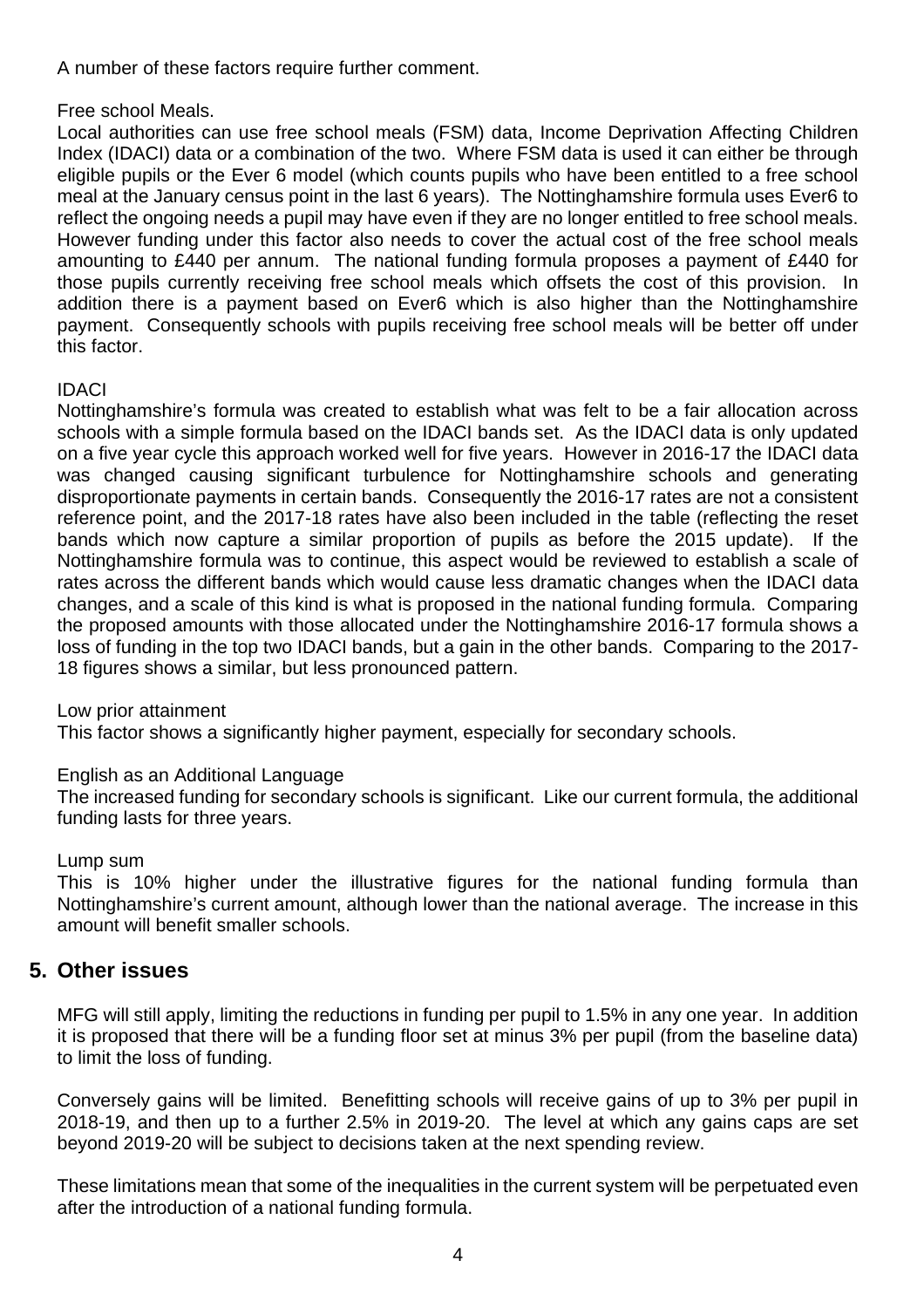A number of these factors require further comment.

### Free school Meals.

Local authorities can use free school meals (FSM) data, Income Deprivation Affecting Children Index (IDACI) data or a combination of the two. Where FSM data is used it can either be through eligible pupils or the Ever 6 model (which counts pupils who have been entitled to a free school meal at the January census point in the last 6 years). The Nottinghamshire formula uses Ever6 to reflect the ongoing needs a pupil may have even if they are no longer entitled to free school meals. However funding under this factor also needs to cover the actual cost of the free school meals amounting to £440 per annum. The national funding formula proposes a payment of £440 for those pupils currently receiving free school meals which offsets the cost of this provision. In addition there is a payment based on Ever6 which is also higher than the Nottinghamshire payment. Consequently schools with pupils receiving free school meals will be better off under this factor.

### IDACI

Nottinghamshire's formula was created to establish what was felt to be a fair allocation across schools with a simple formula based on the IDACI bands set. As the IDACI data is only updated on a five year cycle this approach worked well for five years. However in 2016-17 the IDACI data was changed causing significant turbulence for Nottinghamshire schools and generating disproportionate payments in certain bands. Consequently the 2016-17 rates are not a consistent reference point, and the 2017-18 rates have also been included in the table (reflecting the reset bands which now capture a similar proportion of pupils as before the 2015 update). If the Nottinghamshire formula was to continue, this aspect would be reviewed to establish a scale of rates across the different bands which would cause less dramatic changes when the IDACI data changes, and a scale of this kind is what is proposed in the national funding formula. Comparing the proposed amounts with those allocated under the Nottinghamshire 2016-17 formula shows a loss of funding in the top two IDACI bands, but a gain in the other bands. Comparing to the 2017- 18 figures shows a similar, but less pronounced pattern.

### Low prior attainment

This factor shows a significantly higher payment, especially for secondary schools.

### English as an Additional Language

The increased funding for secondary schools is significant. Like our current formula, the additional funding lasts for three years.

### Lump sum

This is 10% higher under the illustrative figures for the national funding formula than Nottinghamshire's current amount, although lower than the national average. The increase in this amount will benefit smaller schools.

## **5. Other issues**

MFG will still apply, limiting the reductions in funding per pupil to 1.5% in any one year. In addition it is proposed that there will be a funding floor set at minus 3% per pupil (from the baseline data) to limit the loss of funding.

Conversely gains will be limited. Benefitting schools will receive gains of up to 3% per pupil in 2018-19, and then up to a further 2.5% in 2019-20. The level at which any gains caps are set beyond 2019-20 will be subject to decisions taken at the next spending review.

These limitations mean that some of the inequalities in the current system will be perpetuated even after the introduction of a national funding formula.